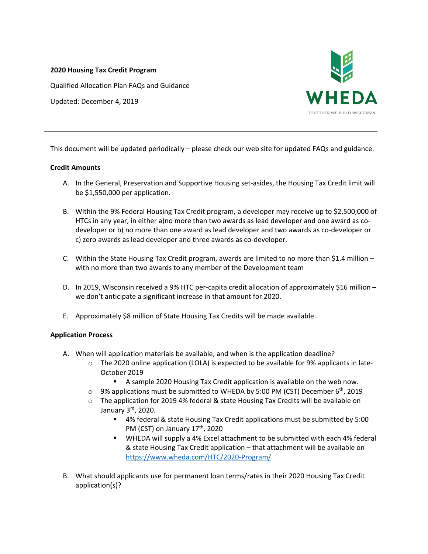#### **2020 Housing Tax Credit Program**

Qualified Allocation Plan FAQs and Guidance

Updated: December 4, 2019



This document will be updated periodically – please check our web site for updated FAQs and guidance.

#### **Credit Amounts**

- A. In the General, Preservation and Supportive Housing set‐asides, the Housing Tax Credit limit will be \$1,550,000 per application.
- B. Within the 9% Federal Housing Tax Credit program, a developer may receive up to \$2,500,000 of HTCs in any year, in either a)no more than two awards as lead developer and one award as co‐ developer or b) no more than one award as lead developer and two awards as co‐developer or c) zero awards as lead developer and three awards as co-developer.
- C. Within the State Housing Tax Credit program, awards are limited to no more than \$1.4 million  $$ with no more than two awards to any member of the Development team
- D. In 2019, Wisconsin received a 9% HTC per-capita credit allocation of approximately \$16 million we don't anticipate a significant increase in that amount for 2020.
- E. Approximately \$8 million of State Housing Tax Credits will be made available.

## **Application Process**

- A. When will application materials be available, and when is the application deadline?
	- $\circ$  The 2020 online application (LOLA) is expected to be available for 9% applicants in late-October 2019
		- A sample 2020 Housing Tax Credit application is available on the web now.
	- $\circ$  9% applications must be submitted to WHEDA by 5:00 PM (CST) December 6<sup>th</sup>, 2019
	- $\circ$  The application for 2019 4% federal & state Housing Tax Credits will be available on January 3rd, 2020.
		- 4% federal & state Housing Tax Credit applications must be submitted by 5:00 PM (CST) on January 17<sup>th</sup>, 2020
		- **WHEDA will supply a 4% Excel attachment to be submitted with each 4% federal** & state Housing Tax Credit application – that attachment will be available on https://www.wheda.com/HTC/2020‐Program/
- B. What should applicants use for permanent loan terms/rates in their 2020 Housing Tax Credit application(s)?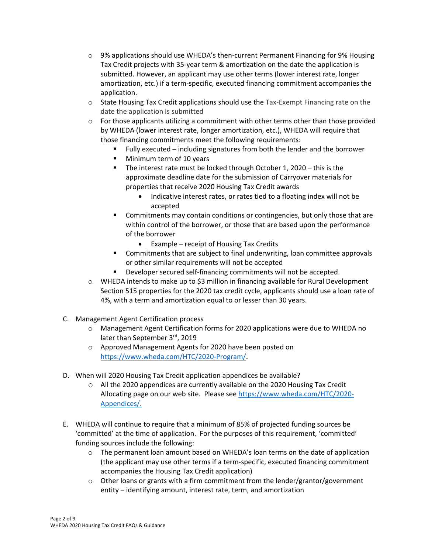- o 9% applications should use WHEDA's then‐current Permanent Financing for 9% Housing Tax Credit projects with 35‐year term & amortization on the date the application is submitted. However, an applicant may use other terms (lower interest rate, longer amortization, etc.) if a term‐specific, executed financing commitment accompanies the application.
- o State Housing Tax Credit applications should use the Tax‐Exempt Financing rate on the date the application is submitted
- $\circ$  For those applicants utilizing a commitment with other terms other than those provided by WHEDA (lower interest rate, longer amortization, etc.), WHEDA will require that those financing commitments meet the following requirements:
	- Fully executed including signatures from both the lender and the borrower
	- Minimum term of 10 years
	- The interest rate must be locked through October 1, 2020 this is the approximate deadline date for the submission of Carryover materials for properties that receive 2020 Housing Tax Credit awards
		- Indicative interest rates, or rates tied to a floating index will not be accepted
	- **EXECOMMITMENTS MAY CONTAIN CONDUCTS CONTIMENTS COMMITMENTS** Commitments may contain conduitions or contingencies, but only those that are within control of the borrower, or those that are based upon the performance of the borrower
		- Example receipt of Housing Tax Credits
	- **EXEDENTIFY Commitments that are subject to final underwriting, loan committee approvals** or other similar requirements will not be accepted
	- Developer secured self‐financing commitments will not be accepted.
- $\circ$  WHEDA intends to make up to \$3 million in financing available for Rural Development Section 515 properties for the 2020 tax credit cycle, applicants should use a loan rate of 4%, with a term and amortization equal to or lesser than 30 years.
- C. Management Agent Certification process
	- o Management Agent Certification forms for 2020 applications were due to WHEDA no later than September 3rd, 2019
	- o Approved Management Agents for 2020 have been posted on https://www.wheda.com/HTC/2020‐Program/.
- D. When will 2020 Housing Tax Credit application appendices be available?
	- o All the 2020 appendices are currently available on the 2020 Housing Tax Credit Allocating page on our web site. Please see https://www.wheda.com/HTC/2020‐ Appendices/.
- E. WHEDA will continue to require that a minimum of 85% of projected funding sources be 'committed' at the time of application. For the purposes of this requirement, 'committed' funding sources include the following:
	- $\circ$  The permanent loan amount based on WHEDA's loan terms on the date of application (the applicant may use other terms if a term‐specific, executed financing commitment accompanies the Housing Tax Credit application)
	- $\circ$  Other loans or grants with a firm commitment from the lender/grantor/government entity – identifying amount, interest rate, term, and amortization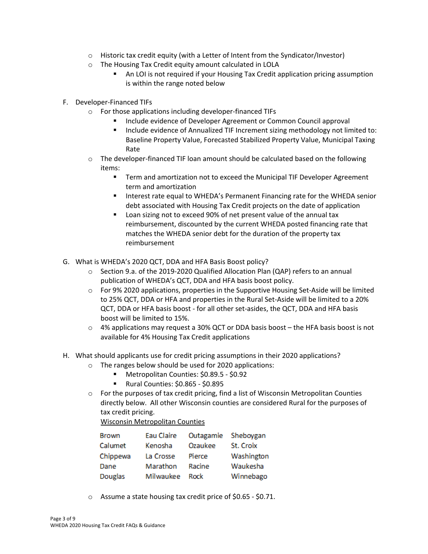- $\circ$  Historic tax credit equity (with a Letter of Intent from the Syndicator/Investor)
- o The Housing Tax Credit equity amount calculated in LOLA
	- An LOI is not required if your Housing Tax Credit application pricing assumption is within the range noted below
- F. Developer‐Financed TIFs
	- o For those applications including developer‐financed TIFs
		- Include evidence of Developer Agreement or Common Council approval
		- **Include evidence of Annualized TIF Increment sizing methodology not limited to:** Baseline Property Value, Forecasted Stabilized Property Value, Municipal Taxing Rate
	- $\circ$  The developer-financed TIF loan amount should be calculated based on the following items:
		- Term and amortization not to exceed the Municipal TIF Developer Agreement term and amortization
		- **Interest rate equal to WHEDA's Permanent Financing rate for the WHEDA senior** debt associated with Housing Tax Credit projects on the date of application
		- Loan sizing not to exceed 90% of net present value of the annual tax reimbursement, discounted by the current WHEDA posted financing rate that matches the WHEDA senior debt for the duration of the property tax reimbursement
- G. What is WHEDA's 2020 QCT, DDA and HFA Basis Boost policy?
	- o Section 9.a. of the 2019‐2020 Qualified Allocation Plan (QAP) refers to an annual publication of WHEDA's QCT, DDA and HFA basis boost policy.
	- o For 9% 2020 applications, properties in the Supportive Housing Set‐Aside will be limited to 25% QCT, DDA or HFA and properties in the Rural Set‐Aside will be limited to a 20% QCT, DDA or HFA basis boost ‐ for all other set‐asides, the QCT, DDA and HFA basis boost will be limited to 15%.
	- $\circ$  4% applications may request a 30% QCT or DDA basis boost the HFA basis boost is not available for 4% Housing Tax Credit applications
- H. What should applicants use for credit pricing assumptions in their 2020 applications?
	- o The ranges below should be used for 2020 applications:
		- Metropolitan Counties: \$0.89.5 \$0.92
		- Rural Counties: \$0.865 \$0.895
	- $\circ$  For the purposes of tax credit pricing, find a list of Wisconsin Metropolitan Counties directly below. All other Wisconsin counties are considered Rural for the purposes of tax credit pricing.

Wisconsin Metropolitan Counties

| <b>Brown</b> | Eau Claire | Outagamie | Sheboygan  |
|--------------|------------|-----------|------------|
| Calumet      | Kenosha    | Ozaukee   | St. Croix  |
| Chippewa     | La Crosse  | Pierce    | Washington |
| Dane         | Marathon   | Racine    | Waukesha   |
| Douglas      | Milwaukee  | Rock      | Winnebago  |

o Assume a state housing tax credit price of \$0.65 ‐ \$0.71.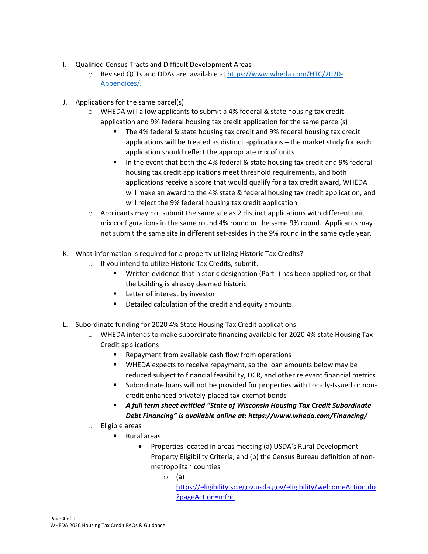- I. Qualified Census Tracts and Difficult Development Areas
	- o Revised QCTs and DDAs are available at https://www.wheda.com/HTC/2020‐ Appendices/.
- J. Applications for the same parcel(s)
	- o WHEDA will allow applicants to submit a 4% federal & state housing tax credit application and 9% federal housing tax credit application for the same parcel(s)
		- The 4% federal & state housing tax credit and 9% federal housing tax credit applications will be treated as distinct applications – the market study for each application should reflect the appropriate mix of units
		- In the event that both the 4% federal & state housing tax credit and 9% federal housing tax credit applications meet threshold requirements, and both applications receive a score that would qualify for a tax credit award, WHEDA will make an award to the 4% state & federal housing tax credit application, and will reject the 9% federal housing tax credit application
	- $\circ$  Applicants may not submit the same site as 2 distinct applications with different unit mix configurations in the same round 4% round or the same 9% round. Applicants may not submit the same site in different set-asides in the 9% round in the same cycle year.
- K. What information is required for a property utilizing Historic Tax Credits?
	- o If you intend to utilize Historic Tax Credits, submit:
		- Written evidence that historic designation (Part I) has been applied for, or that the building is already deemed historic
		- **Letter of interest by investor**
		- **•** Detailed calculation of the credit and equity amounts.
- L. Subordinate funding for 2020 4% State Housing Tax Credit applications
	- $\circ$  WHEDA intends to make subordinate financing available for 2020 4% state Housing Tax Credit applications
		- Repayment from available cash flow from operations
		- WHEDA expects to receive repayment, so the loan amounts below may be reduced subject to financial feasibility, DCR, and other relevant financial metrics
		- Subordinate loans will not be provided for properties with Locally‐Issued or non‐ credit enhanced privately‐placed tax‐exempt bonds
		- *A full term sheet entitled "State of Wisconsin Housing Tax Credit Subordinate Debt Financing" is available online at: https://www.wheda.com/Financing/*
	- o Eligible areas
		- Rural areas
			- Properties located in areas meeting (a) USDA's Rural Development Property Eligibility Criteria, and (b) the Census Bureau definition of non‐ metropolitan counties
				- o (a)

https://eligibility.sc.egov.usda.gov/eligibility/welcomeAction.do ?pageAction=mfhc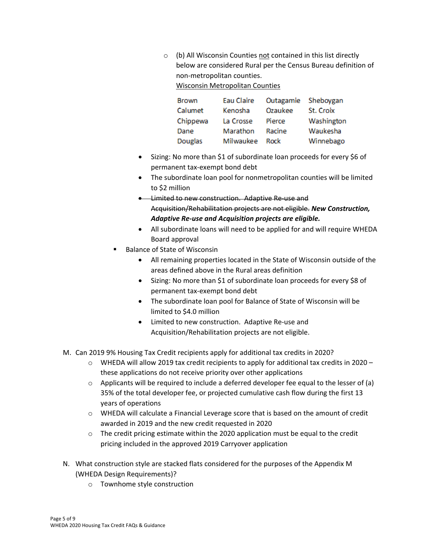o (b) All Wisconsin Counties not contained in this list directly below are considered Rural per the Census Bureau definition of non‐metropolitan counties. Wisconsin Metropolitan Counties

Eau Claire Outagamie Sheboygan **Brown** Calumet Kenosha Ozaukee St. Croix Chippewa La Crosse Pierce Washington Dane Marathon Racine Waukesha Douglas Milwaukee Rock Winnebago

- Sizing: No more than \$1 of subordinate loan proceeds for every \$6 of permanent tax‐exempt bond debt
- The subordinate loan pool for nonmetropolitan counties will be limited to \$2 million
- **■** Limited to new construction. Adaptive Re-use and Acquisition/Rehabilitation projects are not eligible. *New Construction, Adaptive Re‐use and Acquisition projects are eligible.*
- All subordinate loans will need to be applied for and will require WHEDA Board approval
- Balance of State of Wisconsin
	- All remaining properties located in the State of Wisconsin outside of the areas defined above in the Rural areas definition
	- Sizing: No more than \$1 of subordinate loan proceeds for every \$8 of permanent tax‐exempt bond debt
	- The subordinate loan pool for Balance of State of Wisconsin will be limited to \$4.0 million
	- Limited to new construction. Adaptive Re-use and Acquisition/Rehabilitation projects are not eligible.
- M. Can 2019 9% Housing Tax Credit recipients apply for additional tax credits in 2020?
	- $\circ$  WHEDA will allow 2019 tax credit recipients to apply for additional tax credits in 2020 these applications do not receive priority over other applications
	- $\circ$  Applicants will be required to include a deferred developer fee equal to the lesser of (a) 35% of the total developer fee, or projected cumulative cash flow during the first 13 years of operations
	- o WHEDA will calculate a Financial Leverage score that is based on the amount of credit awarded in 2019 and the new credit requested in 2020
	- $\circ$  The credit pricing estimate within the 2020 application must be equal to the credit pricing included in the approved 2019 Carryover application
- N. What construction style are stacked flats considered for the purposes of the Appendix M (WHEDA Design Requirements)?
	- o Townhome style construction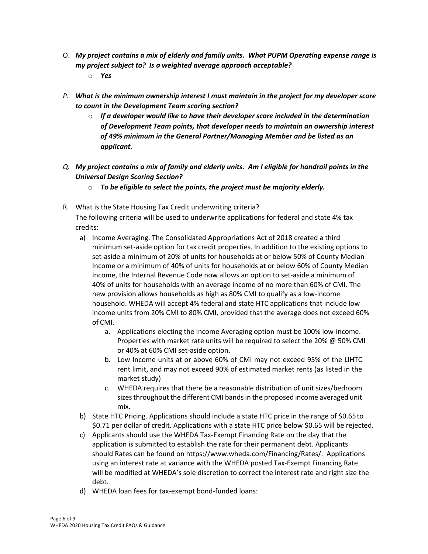- O. *My project contains a mix of elderly and family units. What PUPM Operating expense range is my project subject to? Is a weighted average approach acceptable?*
	- o *Yes*
- *P. What is the minimum ownership interest I must maintain in the project for my developer score to count in the Development Team scoring section?*
	- o *If a developer would like to have their developer score included in the determination of Development Team points, that developer needs to maintain an ownership interest of 49% minimum in the General Partner/Managing Member and be listed as an applicant.*
- Q. My project contains a mix of family and elderly units. Am I eligible for handrail points in the *Universal Design Scoring Section?*
	- o *To be eligible to select the points, the project must be majority elderly.*
- R. What is the State Housing Tax Credit underwriting criteria? The following criteria will be used to underwrite applications for federal and state 4% tax credits:
	- a) Income Averaging. The Consolidated Appropriations Act of 2018 created a third minimum set‐aside option for tax credit properties. In addition to the existing options to set‐aside a minimum of 20% of units for households at or below 50% of County Median Income or a minimum of 40% of units for households at or below 60% of County Median Income, the Internal Revenue Code now allows an option to set‐aside a minimum of 40% of units for households with an average income of no more than 60% of CMI. The new provision allows households as high as 80% CMI to qualify as a low‐income household. WHEDA will accept 4% federal and state HTC applications that include low income units from 20% CMI to 80% CMI, provided that the average does not exceed 60% of CMI.
		- a. Applications electing the Income Averaging option must be 100% low‐income. Properties with market rate units will be required to select the 20% @ 50% CMI or 40% at 60% CMI set‐aside option.
		- b. Low Income units at or above 60% of CMI may not exceed 95% of the LIHTC rent limit, and may not exceed 90% of estimated market rents (as listed in the market study)
		- c. WHEDA requires that there be a reasonable distribution of unit sizes/bedroom sizes throughout the different CMI bands in the proposed income averaged unit mix.
	- b) State HTC Pricing. Applications should include a state HTC price in the range of \$0.65to \$0.71 per dollar of credit. Applications with a state HTC price below \$0.65 will be rejected.
	- c) Applicants should use the WHEDA Tax‐Exempt Financing Rate on the day that the application is submitted to establish the rate for their permanent debt. Applicants should Rates can be found on https://www.wheda.com/Financing/Rates/. Applications using an interest rate at variance with the WHEDA posted Tax‐Exempt Financing Rate will be modified at WHEDA's sole discretion to correct the interest rate and right size the debt.
	- d) WHEDA loan fees for tax‐exempt bond‐funded loans: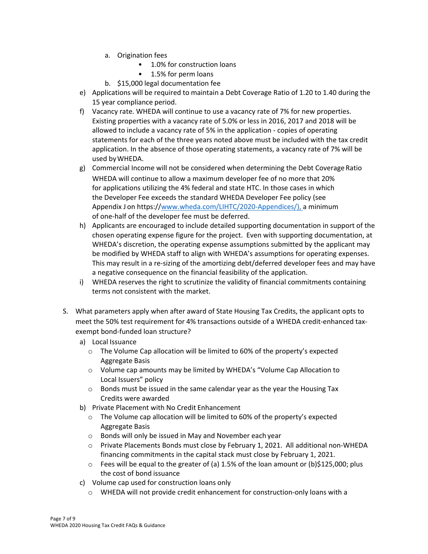- a. Origination fees
	- 1.0% for construction loans
	- 1.5% for perm loans
- b. \$15,000 legal documentation fee
- e) Applications will be required to maintain a Debt Coverage Ratio of 1.20 to 1.40 during the 15 year compliance period.
- f) Vacancy rate. WHEDA will continue to use a vacancy rate of 7% for new properties. Existing properties with a vacancy rate of 5.0% or less in 2016, 2017 and 2018 will be allowed to include a vacancy rate of 5% in the application ‐ copies of operating statements for each of the three years noted above must be included with the tax credit application. In the absence of those operating statements, a vacancy rate of 7% will be used byWHEDA.
- g) Commercial Income will not be considered when determining the Debt CoverageRatio WHEDA will continue to allow a maximum developer fee of no more that 20% for applications utilizing the 4% federal and state HTC. In those cases in which the Developer Fee exceeds the standard WHEDA Developer Fee policy (see Appendix J on https://www.wheda.com/LIHTC/2020-Appendices/), a minimum of one‐half of the developer fee must be deferred.
- h) Applicants are encouraged to include detailed supporting documentation in support of the chosen operating expense figure for the project. Even with supporting documentation, at WHEDA's discretion, the operating expense assumptions submitted by the applicant may be modified by WHEDA staff to align with WHEDA's assumptions for operating expenses. This may result in a re‐sizing of the amortizing debt/deferred developer fees and may have a negative consequence on the financial feasibility of the application.
- i) WHEDA reserves the right to scrutinize the validity of financial commitments containing terms not consistent with the market.
- S. What parameters apply when after award of State Housing Tax Credits, the applicant opts to meet the 50% test requirement for 4% transactions outside of a WHEDA credit‐enhanced tax‐ exempt bond‐funded loan structure?
	- a) Local Issuance
		- o The Volume Cap allocation will be limited to 60% of the property's expected Aggregate Basis
		- o Volume cap amounts may be limited by WHEDA's "Volume Cap Allocation to Local Issuers" policy
		- o Bonds must be issued in the same calendar year as the year the Housing Tax Credits were awarded
	- b) Private Placement with No Credit Enhancement
		- $\circ$  The Volume cap allocation will be limited to 60% of the property's expected Aggregate Basis
		- o Bonds will only be issued in May and November each year
		- o Private Placements Bonds must close by February 1, 2021. All additional non‐WHEDA financing commitments in the capital stack must close by February 1, 2021.
		- $\circ$  Fees will be equal to the greater of (a) 1.5% of the loan amount or (b)\$125,000; plus the cost of bond issuance
	- c) Volume cap used for construction loans only
		- o WHEDA will not provide credit enhancement for construction‐only loans with a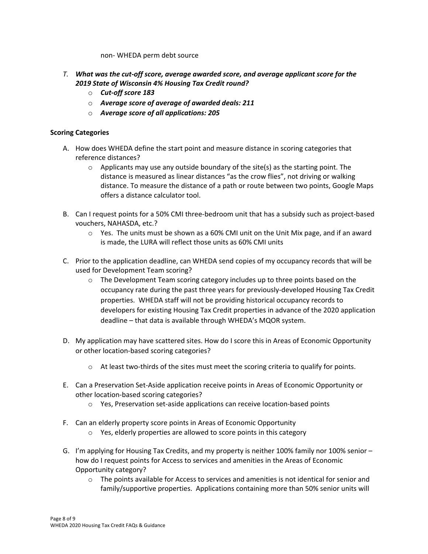non‐ WHEDA perm debt source

- *T. What was the cut‐off score, average awarded score, and average applicant score for the 2019 State of Wisconsin 4% Housing Tax Credit round?*
	- o *Cut‐off score 183*
	- o *Average score of average of awarded deals: 211*
	- o *Average score of all applications: 205*

# **Scoring Categories**

- A. How does WHEDA define the start point and measure distance in scoring categories that reference distances?
	- $\circ$  Applicants may use any outside boundary of the site(s) as the starting point. The distance is measured as linear distances "as the crow flies", not driving or walking distance. To measure the distance of a path or route between two points, Google Maps offers a distance calculator tool.
- B. Can I request points for a 50% CMI three‐bedroom unit that has a subsidy such as project‐based vouchers, NAHASDA, etc.?
	- $\circ$  Yes. The units must be shown as a 60% CMI unit on the Unit Mix page, and if an award is made, the LURA will reflect those units as 60% CMI units
- C. Prior to the application deadline, can WHEDA send copies of my occupancy records that will be used for Development Team scoring?
	- $\circ$  The Development Team scoring category includes up to three points based on the occupancy rate during the past three years for previously‐developed Housing Tax Credit properties. WHEDA staff will not be providing historical occupancy records to developers for existing Housing Tax Credit properties in advance of the 2020 application deadline – that data is available through WHEDA's MQOR system.
- D. My application may have scattered sites. How do I score this in Areas of Economic Opportunity or other location‐based scoring categories?
	- $\circ$  At least two-thirds of the sites must meet the scoring criteria to qualify for points.
- E. Can a Preservation Set‐Aside application receive points in Areas of Economic Opportunity or other location‐based scoring categories?
	- o Yes, Preservation set‐aside applications can receive location‐based points
- F. Can an elderly property score points in Areas of Economic Opportunity
	- $\circ$  Yes, elderly properties are allowed to score points in this category
- G. I'm applying for Housing Tax Credits, and my property is neither 100% family nor 100% senior how do I request points for Access to services and amenities in the Areas of Economic Opportunity category?
	- o The points available for Access to services and amenities is not identical for senior and family/supportive properties. Applications containing more than 50% senior units will